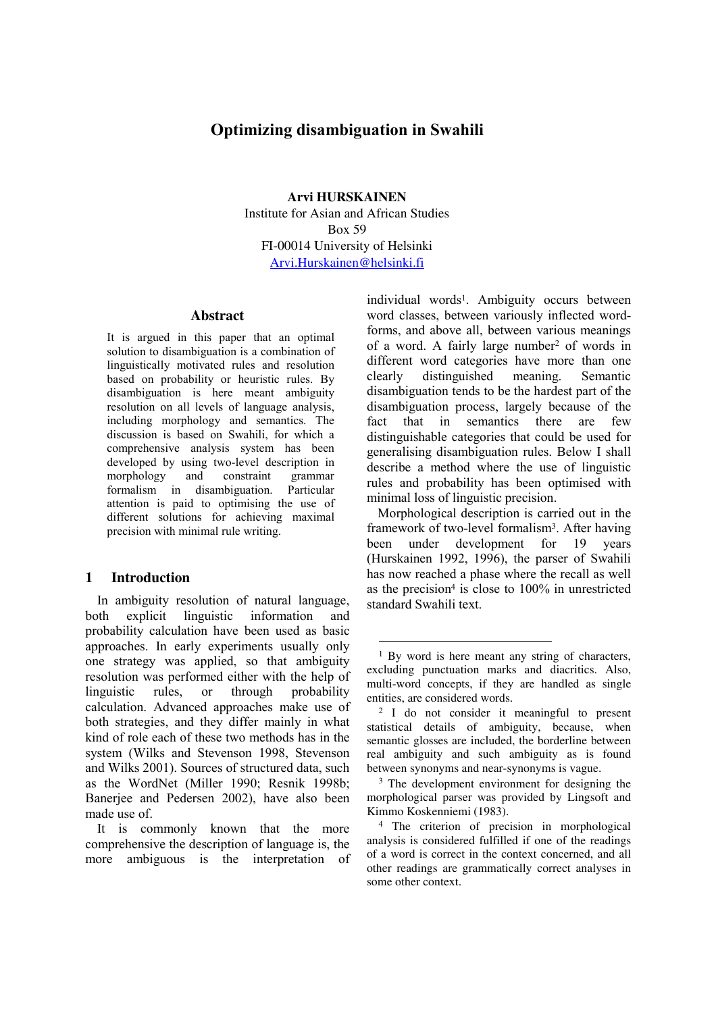# **Optimizing disambiguation in Swahili**

**Arvi HURSKAINEN**  Institute for Asian and African Studies Box 59 FI-00014 University of Helsinki Arvi.Hurskainen@helsinki.fi

 $\overline{a}$ 

#### **Abstract**

It is argued in this paper that an optimal solution to disambiguation is a combination of linguistically motivated rules and resolution based on probability or heuristic rules. By disambiguation is here meant ambiguity resolution on all levels of language analysis, including morphology and semantics. The discussion is based on Swahili, for which a comprehensive analysis system has been developed by using two-level description in morphology and constraint grammar formalism in disambiguation. Particular attention is paid to optimising the use of different solutions for achieving maximal precision with minimal rule writing.

#### **1 Introduction**

In ambiguity resolution of natural language, both explicit linguistic information and probability calculation have been used as basic approaches. In early experiments usually only one strategy was applied, so that ambiguity resolution was performed either with the help of linguistic rules, or through probability calculation. Advanced approaches make use of both strategies, and they differ mainly in what kind of role each of these two methods has in the system (Wilks and Stevenson 1998, Stevenson and Wilks 2001). Sources of structured data, such as the WordNet (Miller 1990; Resnik 1998b; Banerjee and Pedersen 2002), have also been made use of.

It is commonly known that the more comprehensive the description of language is, the more ambiguous is the interpretation of individual words<sup>1</sup>. Ambiguity occurs between word classes, between variously inflected wordforms, and above all, between various meanings of a word. A fairly large number2 of words in different word categories have more than one clearly distinguished meaning. Semantic disambiguation tends to be the hardest part of the disambiguation process, largely because of the fact that in semantics there are few distinguishable categories that could be used for generalising disambiguation rules. Below I shall describe a method where the use of linguistic rules and probability has been optimised with minimal loss of linguistic precision.

Morphological description is carried out in the framework of two-level formalism3. After having been under development for 19 years (Hurskainen 1992, 1996), the parser of Swahili has now reached a phase where the recall as well as the precision<sup>4</sup> is close to  $100\%$  in unrestricted standard Swahili text.

<sup>&</sup>lt;sup>1</sup> By word is here meant any string of characters, excluding punctuation marks and diacritics. Also, multi-word concepts, if they are handled as single entities, are considered words.

<sup>&</sup>lt;sup>2</sup> I do not consider it meaningful to present statistical details of ambiguity, because, when semantic glosses are included, the borderline between real ambiguity and such ambiguity as is found between synonyms and near-synonyms is vague.

<sup>&</sup>lt;sup>3</sup> The development environment for designing the morphological parser was provided by Lingsoft and Kimmo Koskenniemi (1983).

<sup>4</sup> The criterion of precision in morphological analysis is considered fulfilled if one of the readings of a word is correct in the context concerned, and all other readings are grammatically correct analyses in some other context.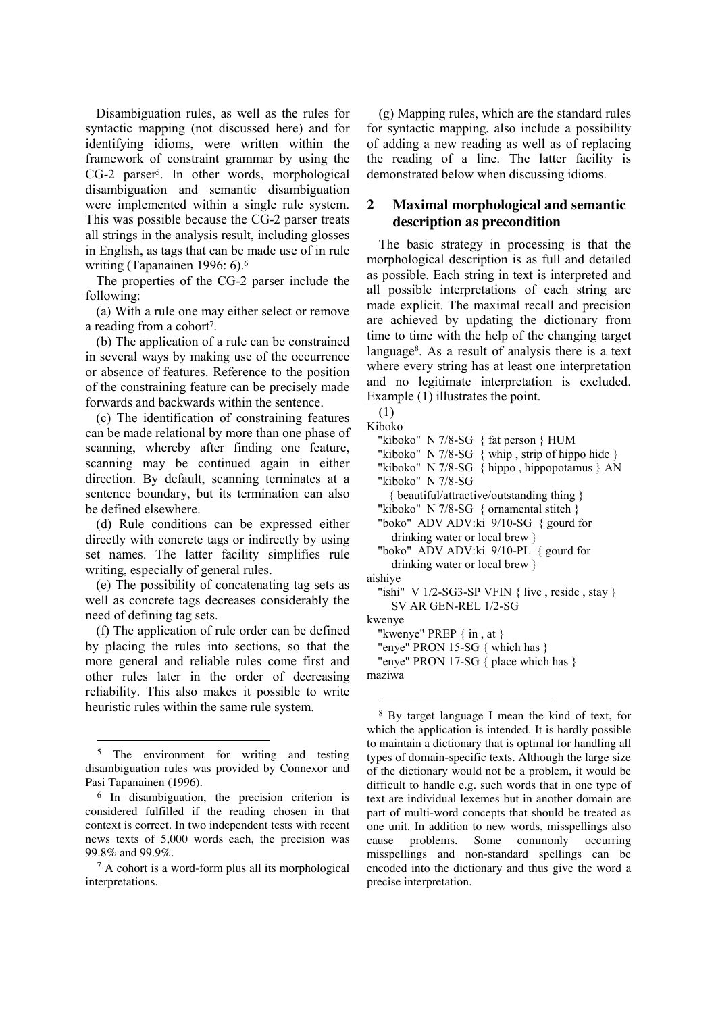Disambiguation rules, as well as the rules for syntactic mapping (not discussed here) and for identifying idioms, were written within the framework of constraint grammar by using the CG-2 parser<sup>5</sup>. In other words, morphological disambiguation and semantic disambiguation were implemented within a single rule system. This was possible because the CG-2 parser treats all strings in the analysis result, including glosses in English, as tags that can be made use of in rule writing (Tapanainen 1996: 6).6

The properties of the CG-2 parser include the following:

(a) With a rule one may either select or remove a reading from a cohort<sup>7</sup>.

(b) The application of a rule can be constrained in several ways by making use of the occurrence or absence of features. Reference to the position of the constraining feature can be precisely made forwards and backwards within the sentence.

(c) The identification of constraining features can be made relational by more than one phase of scanning, whereby after finding one feature, scanning may be continued again in either direction. By default, scanning terminates at a sentence boundary, but its termination can also be defined elsewhere.

(d) Rule conditions can be expressed either directly with concrete tags or indirectly by using set names. The latter facility simplifies rule writing, especially of general rules.

(e) The possibility of concatenating tag sets as well as concrete tags decreases considerably the need of defining tag sets.

(f) The application of rule order can be defined by placing the rules into sections, so that the more general and reliable rules come first and other rules later in the order of decreasing reliability. This also makes it possible to write heuristic rules within the same rule system.

l

(g) Mapping rules, which are the standard rules for syntactic mapping, also include a possibility of adding a new reading as well as of replacing the reading of a line. The latter facility is demonstrated below when discussing idioms.

### **2 Maximal morphological and semantic description as precondition**

The basic strategy in processing is that the morphological description is as full and detailed as possible. Each string in text is interpreted and all possible interpretations of each string are made explicit. The maximal recall and precision are achieved by updating the dictionary from time to time with the help of the changing target language8. As a result of analysis there is a text where every string has at least one interpretation and no legitimate interpretation is excluded. Example (1) illustrates the point.

(1)

 $\overline{a}$ 

```
Kiboko 
  "kiboko" N 7/8-SG { fat person } HUM 
  "kiboko" N 7/8-SG { whip, strip of hippo hide }
   "kiboko" N 7/8-SG { hippo , hippopotamus } AN 
   "kiboko" N 7/8-SG 
    { beautiful/attractive/outstanding thing } 
  "kiboko" N 7/8-SG { ornamental stitch } 
   "boko" ADV ADV:ki 9/10-SG { gourd for 
      drinking water or local brew } 
   "boko" ADV ADV:ki 9/10-PL { gourd for 
     drinking water or local brew } 
aishiye 
  "ishi" V 1/2-SG3-SP VFIN { live, reside, stay }
     SV AR GEN-REL 1/2-SG 
kwenye 
   "kwenye" PREP { in , at } 
   "enye" PRON 15-SG { which has } 
   "enye" PRON 17-SG { place which has } 
maziwa
```
<sup>&</sup>lt;sup>5</sup> The environment for writing and testing disambiguation rules was provided by Connexor and Pasi Tapanainen (1996).

<sup>6</sup> In disambiguation, the precision criterion is considered fulfilled if the reading chosen in that context is correct. In two independent tests with recent news texts of 5,000 words each, the precision was 99.8% and 99.9%.

<sup>7</sup> A cohort is a word-form plus all its morphological interpretations.

<sup>8</sup> By target language I mean the kind of text, for which the application is intended. It is hardly possible to maintain a dictionary that is optimal for handling all types of domain-specific texts. Although the large size of the dictionary would not be a problem, it would be difficult to handle e.g. such words that in one type of text are individual lexemes but in another domain are part of multi-word concepts that should be treated as one unit. In addition to new words, misspellings also cause problems. Some commonly occurring misspellings and non-standard spellings can be encoded into the dictionary and thus give the word a precise interpretation.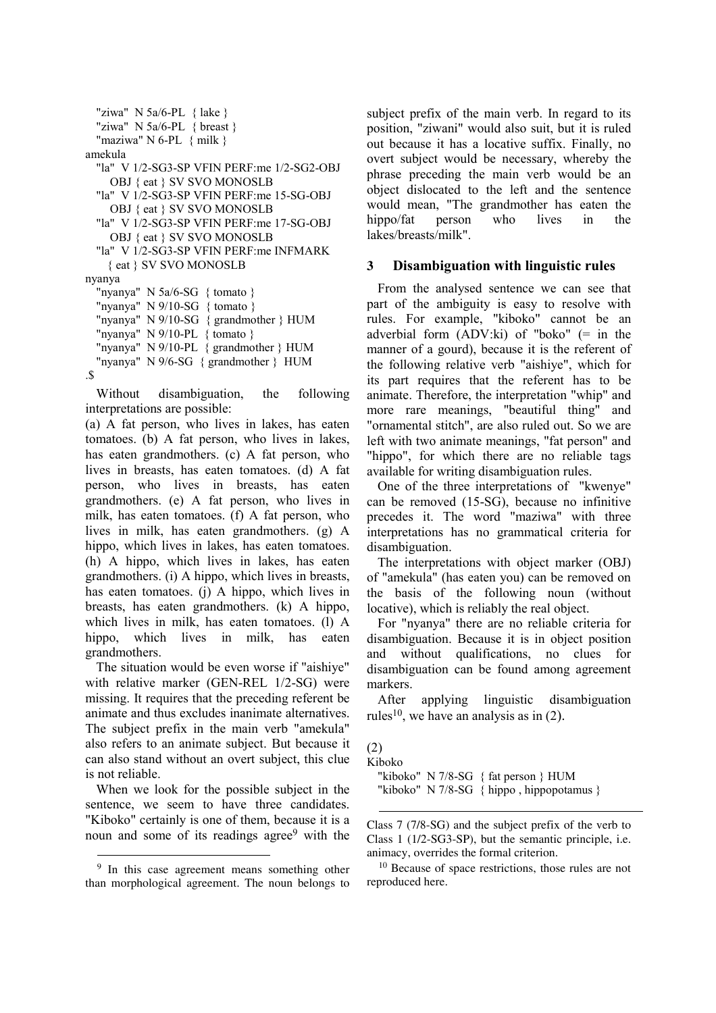```
 "ziwa" N 5a/6-PL { lake } 
  "ziwa" N 5a/6-PL { breast }
  "maziwa" N 6-PL { milk }
amekula 
   "la" V 1/2-SG3-SP VFIN PERF:me 1/2-SG2-OBJ 
     OBJ { eat } SV SVO MONOSLB 
   "la" V 1/2-SG3-SP VFIN PERF:me 15-SG-OBJ 
     OBJ { eat } SV SVO MONOSLB 
   "la" V 1/2-SG3-SP VFIN PERF:me 17-SG-OBJ 
     OBJ { eat } SV SVO MONOSLB 
   "la" V 1/2-SG3-SP VFIN PERF:me INFMARK 
    { eat } SV SVO MONOSLB 
nyanya 
   "nyanya" N 5a/6-SG { tomato } 
   "nyanya" N 9/10-SG { tomato } 
   "nyanya" N 9/10-SG { grandmother } HUM 
  "nyanya" N 9/10-PL \{ tomato \} "nyanya" N 9/10-PL { grandmother } HUM 
   "nyanya" N 9/6-SG { grandmother } HUM 
.$
```
Without disambiguation, the following interpretations are possible:

(a) A fat person, who lives in lakes, has eaten tomatoes. (b) A fat person, who lives in lakes, has eaten grandmothers. (c) A fat person, who lives in breasts, has eaten tomatoes. (d) A fat person, who lives in breasts, has eaten grandmothers. (e) A fat person, who lives in milk, has eaten tomatoes. (f) A fat person, who lives in milk, has eaten grandmothers. (g) A hippo, which lives in lakes, has eaten tomatoes. (h) A hippo, which lives in lakes, has eaten grandmothers. (i) A hippo, which lives in breasts, has eaten tomatoes. (j) A hippo, which lives in breasts, has eaten grandmothers. (k) A hippo, which lives in milk, has eaten tomatoes. (l) A hippo, which lives in milk, has eaten grandmothers.

The situation would be even worse if "aishiye" with relative marker (GEN-REL 1/2-SG) were missing. It requires that the preceding referent be animate and thus excludes inanimate alternatives. The subject prefix in the main verb "amekula" also refers to an animate subject. But because it can also stand without an overt subject, this clue is not reliable.

When we look for the possible subject in the sentence, we seem to have three candidates. "Kiboko" certainly is one of them, because it is a noun and some of its readings agree<sup>9</sup> with the

 $\overline{a}$ 

subject prefix of the main verb. In regard to its position, "ziwani" would also suit, but it is ruled out because it has a locative suffix. Finally, no overt subject would be necessary, whereby the phrase preceding the main verb would be an object dislocated to the left and the sentence would mean, "The grandmother has eaten the hippo/fat person who lives in the lakes/breasts/milk".

### **3 Disambiguation with linguistic rules**

From the analysed sentence we can see that part of the ambiguity is easy to resolve with rules. For example, "kiboko" cannot be an adverbial form  $(ADV:ki)$  of "boko"  $(=$  in the manner of a gourd), because it is the referent of the following relative verb "aishiye", which for its part requires that the referent has to be animate. Therefore, the interpretation "whip" and more rare meanings, "beautiful thing" and "ornamental stitch", are also ruled out. So we are left with two animate meanings, "fat person" and "hippo", for which there are no reliable tags available for writing disambiguation rules.

One of the three interpretations of "kwenye" can be removed (15-SG), because no infinitive precedes it. The word "maziwa" with three interpretations has no grammatical criteria for disambiguation.

The interpretations with object marker (OBJ) of "amekula" (has eaten you) can be removed on the basis of the following noun (without locative), which is reliably the real object.

For "nyanya" there are no reliable criteria for disambiguation. Because it is in object position and without qualifications, no clues for disambiguation can be found among agreement markers.

After applying linguistic disambiguation rules<sup>10</sup>, we have an analysis as in  $(2)$ .

#### (2)

Kiboko

 $\overline{a}$ 

 "kiboko" N 7/8-SG { fat person } HUM "kiboko" N 7/8-SG { hippo , hippopotamus }

Class 7 (7/8-SG) and the subject prefix of the verb to Class 1 (1/2-SG3-SP), but the semantic principle, i.e. animacy, overrides the formal criterion.

10 Because of space restrictions, those rules are not reproduced here.

<sup>&</sup>lt;sup>9</sup> In this case agreement means something other than morphological agreement. The noun belongs to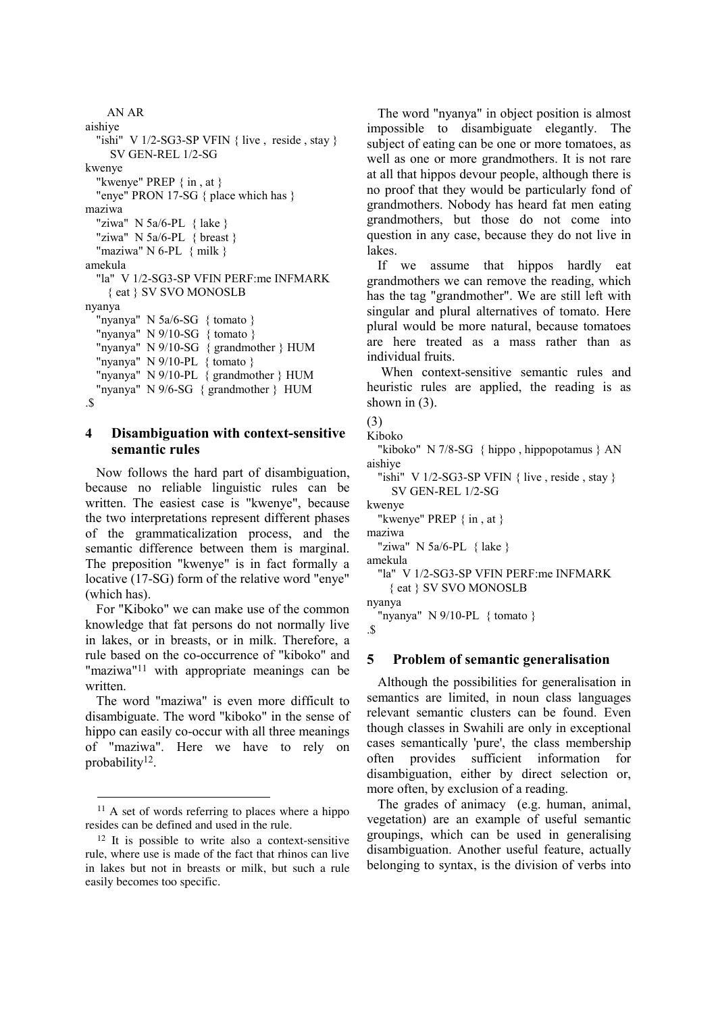```
AN AR 
aishiye 
  "ishi" V 1/2-SG3-SP VFIN \{ live, reside, stay \} SV GEN-REL 1/2-SG 
kwenye 
   "kwenye" PREP { in , at } 
   "enye" PRON 17-SG { place which has } 
maziwa 
   "ziwa" N 5a/6-PL { lake } 
  "ziwa" N 5a/6-PL { breast }
  "maziwa" N 6-PL { milk }
amekula 
   "la" V 1/2-SG3-SP VFIN PERF:me INFMARK 
    { eat } SV SVO MONOSLB 
nyanya 
   "nyanya" N 5a/6-SG { tomato } 
  "nyanya" N 9/10-SG { tomato }
   "nyanya" N 9/10-SG { grandmother } HUM 
   "nyanya" N 9/10-PL { tomato } 
   "nyanya" N 9/10-PL { grandmother } HUM 
   "nyanya" N 9/6-SG { grandmother } HUM
```

```
.$
```
l

### **4 Disambiguation with context-sensitive semantic rules**

Now follows the hard part of disambiguation, because no reliable linguistic rules can be written. The easiest case is "kwenye", because the two interpretations represent different phases of the grammaticalization process, and the semantic difference between them is marginal. The preposition "kwenye" is in fact formally a locative (17-SG) form of the relative word "enye" (which has).

For "Kiboko" we can make use of the common knowledge that fat persons do not normally live in lakes, or in breasts, or in milk. Therefore, a rule based on the co-occurrence of "kiboko" and "maziwa"<sup>11</sup> with appropriate meanings can be written.

The word "maziwa" is even more difficult to disambiguate. The word "kiboko" in the sense of hippo can easily co-occur with all three meanings of "maziwa". Here we have to rely on probability12.

The word "nyanya" in object position is almost impossible to disambiguate elegantly. The subject of eating can be one or more tomatoes, as well as one or more grandmothers. It is not rare at all that hippos devour people, although there is no proof that they would be particularly fond of grandmothers. Nobody has heard fat men eating grandmothers, but those do not come into question in any case, because they do not live in lakes.

If we assume that hippos hardly eat grandmothers we can remove the reading, which has the tag "grandmother". We are still left with singular and plural alternatives of tomato. Here plural would be more natural, because tomatoes are here treated as a mass rather than as individual fruits.

 When context-sensitive semantic rules and heuristic rules are applied, the reading is as shown in  $(3)$ .

(3)

Kiboko "kiboko" N 7/8-SG { hippo , hippopotamus } AN aishiye

```
"ishi" V 1/2-SG3-SP VFIN { live, reside, stay }
```
 SV GEN-REL 1/2-SG kwenye

"kwenye" PREP { in , at }

maziwa

"ziwa" N 5a/6-PL { lake }

```
amekula 
  "la" V 1/2-SG3-SP VFIN PERF:me INFMARK 
   { eat } SV SVO MONOSLB
```
nyanya

"nyanya" N  $9/10$ -PL { tomato }

.\$

# **5 Problem of semantic generalisation**

Although the possibilities for generalisation in semantics are limited, in noun class languages relevant semantic clusters can be found. Even though classes in Swahili are only in exceptional cases semantically 'pure', the class membership often provides sufficient information for disambiguation, either by direct selection or, more often, by exclusion of a reading.

The grades of animacy (e.g. human, animal, vegetation) are an example of useful semantic groupings, which can be used in generalising disambiguation. Another useful feature, actually belonging to syntax, is the division of verbs into

 $11$  A set of words referring to places where a hippo resides can be defined and used in the rule.

 $12$  It is possible to write also a context-sensitive rule, where use is made of the fact that rhinos can live in lakes but not in breasts or milk, but such a rule easily becomes too specific.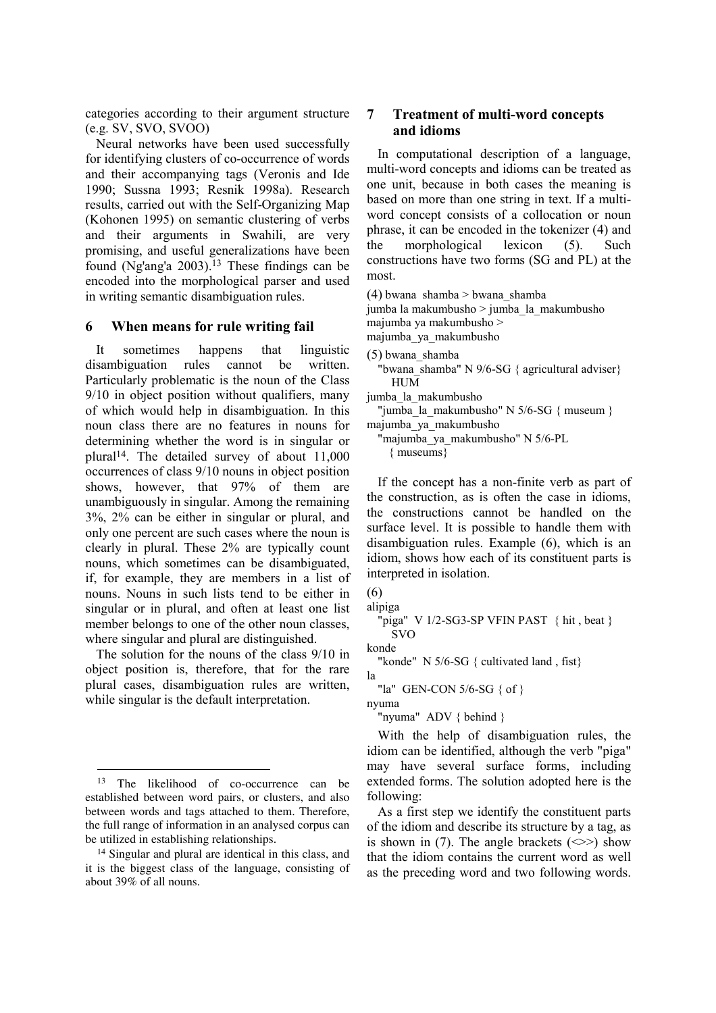categories according to their argument structure (e.g. SV, SVO, SVOO)

Neural networks have been used successfully for identifying clusters of co-occurrence of words and their accompanying tags (Veronis and Ide 1990; Sussna 1993; Resnik 1998a). Research results, carried out with the Self-Organizing Map (Kohonen 1995) on semantic clustering of verbs and their arguments in Swahili, are very promising, and useful generalizations have been found (Ng'ang'a 2003).<sup>13</sup> These findings can be encoded into the morphological parser and used in writing semantic disambiguation rules.

#### **6 When means for rule writing fail**

It sometimes happens that linguistic disambiguation rules cannot be written. Particularly problematic is the noun of the Class 9/10 in object position without qualifiers, many of which would help in disambiguation. In this noun class there are no features in nouns for determining whether the word is in singular or plural14. The detailed survey of about 11,000 occurrences of class 9/10 nouns in object position shows, however, that 97% of them are unambiguously in singular. Among the remaining 3%, 2% can be either in singular or plural, and only one percent are such cases where the noun is clearly in plural. These 2% are typically count nouns, which sometimes can be disambiguated, if, for example, they are members in a list of nouns. Nouns in such lists tend to be either in singular or in plural, and often at least one list member belongs to one of the other noun classes, where singular and plural are distinguished.

The solution for the nouns of the class 9/10 in object position is, therefore, that for the rare plural cases, disambiguation rules are written, while singular is the default interpretation.

l

### **7 Treatment of multi-word concepts and idioms**

In computational description of a language, multi-word concepts and idioms can be treated as one unit, because in both cases the meaning is based on more than one string in text. If a multiword concept consists of a collocation or noun phrase, it can be encoded in the tokenizer (4) and the morphological lexicon (5). Such constructions have two forms (SG and PL) at the most.

(4) bwana shamba > bwana\_shamba

jumba la makumbusho > jumba\_la\_makumbusho majumba ya makumbusho >

majumba\_ya\_makumbusho

- (5) bwana\_shamba
- "bwana\_shamba" N 9/6-SG { agricultural adviser} HUM

jumba\_la\_makumbusho

"jumba la makumbusho" N 5/6-SG { museum } majumba\_ya\_makumbusho

 "majumba\_ya\_makumbusho" N 5/6-PL { museums}

If the concept has a non-finite verb as part of the construction, as is often the case in idioms, the constructions cannot be handled on the surface level. It is possible to handle them with disambiguation rules. Example (6), which is an idiom, shows how each of its constituent parts is interpreted in isolation.

(6) alipiga

"piga" V 1/2-SG3-SP VFIN PAST { hit, beat } SVO

konde

"konde" N 5/6-SG { cultivated land, fist}

"la" GEN-CON 5/6-SG { of }

nyuma

la

"nyuma" ADV { behind }

With the help of disambiguation rules, the idiom can be identified, although the verb "piga" may have several surface forms, including extended forms. The solution adopted here is the following:

As a first step we identify the constituent parts of the idiom and describe its structure by a tag, as is shown in (7). The angle brackets  $(\ll\gg)$  show that the idiom contains the current word as well as the preceding word and two following words.

<sup>&</sup>lt;sup>13</sup> The likelihood of co-occurrence can be established between word pairs, or clusters, and also between words and tags attached to them. Therefore, the full range of information in an analysed corpus can be utilized in establishing relationships.

<sup>14</sup> Singular and plural are identical in this class, and it is the biggest class of the language, consisting of about 39% of all nouns.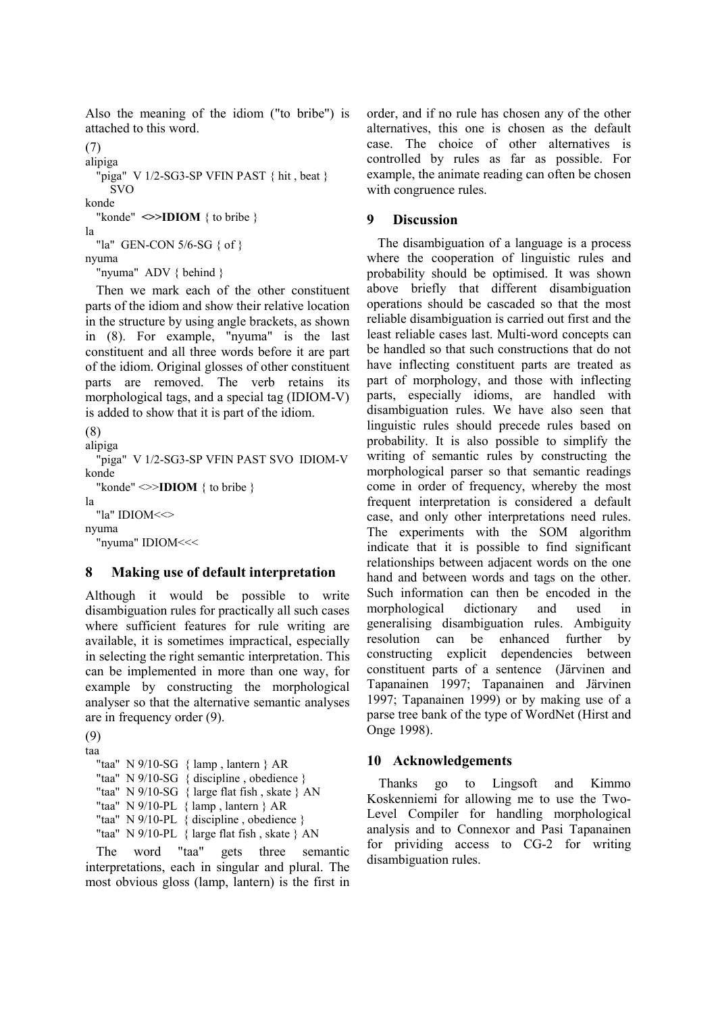Also the meaning of the idiom ("to bribe") is attached to this word.

(7) alipiga "piga" V 1/2-SG3-SP VFIN PAST { hit, beat } SVO konde "konde"  $\lll$  **>IDIOM** { to bribe } la "la" GEN-CON 5/6-SG { of } nyuma

"nyuma" ADV { behind }

Then we mark each of the other constituent parts of the idiom and show their relative location in the structure by using angle brackets, as shown in (8). For example, "nyuma" is the last constituent and all three words before it are part of the idiom. Original glosses of other constituent parts are removed. The verb retains its morphological tags, and a special tag (IDIOM-V) is added to show that it is part of the idiom.

```
(8) 
alipiga 
   "piga" V 1/2-SG3-SP VFIN PAST SVO IDIOM-V 
konde 
  "konde" \ll IDIOM { to bribe }
la 
  "la" IDIOM<<>
nyuma 
   "nyuma" IDIOM<<<
```
#### **8 Making use of default interpretation**

Although it would be possible to write disambiguation rules for practically all such cases where sufficient features for rule writing are available, it is sometimes impractical, especially in selecting the right semantic interpretation. This can be implemented in more than one way, for example by constructing the morphological analyser so that the alternative semantic analyses are in frequency order (9).

```
(9) 
taa
```
 "taa" N 9/10-SG { lamp , lantern } AR "taa" N 9/10-SG { discipline, obedience } "taa" N 9/10-SG { large flat fish , skate } AN "taa" N 9/10-PL { lamp , lantern } AR "taa" N 9/10-PL { discipline, obedience } "taa" N 9/10-PL { large flat fish , skate } AN

The word "taa" gets three semantic interpretations, each in singular and plural. The most obvious gloss (lamp, lantern) is the first in

order, and if no rule has chosen any of the other alternatives, this one is chosen as the default case. The choice of other alternatives is controlled by rules as far as possible. For example, the animate reading can often be chosen with congruence rules.

### **9 Discussion**

The disambiguation of a language is a process where the cooperation of linguistic rules and probability should be optimised. It was shown above briefly that different disambiguation operations should be cascaded so that the most reliable disambiguation is carried out first and the least reliable cases last. Multi-word concepts can be handled so that such constructions that do not have inflecting constituent parts are treated as part of morphology, and those with inflecting parts, especially idioms, are handled with disambiguation rules. We have also seen that linguistic rules should precede rules based on probability. It is also possible to simplify the writing of semantic rules by constructing the morphological parser so that semantic readings come in order of frequency, whereby the most frequent interpretation is considered a default case, and only other interpretations need rules. The experiments with the SOM algorithm indicate that it is possible to find significant relationships between adjacent words on the one hand and between words and tags on the other. Such information can then be encoded in the morphological dictionary and used in generalising disambiguation rules. Ambiguity resolution can be enhanced further by constructing explicit dependencies between constituent parts of a sentence (Järvinen and Tapanainen 1997; Tapanainen and Järvinen 1997; Tapanainen 1999) or by making use of a parse tree bank of the type of WordNet (Hirst and Onge 1998).

# **10 Acknowledgements**

Thanks go to Lingsoft and Kimmo Koskenniemi for allowing me to use the Two-Level Compiler for handling morphological analysis and to Connexor and Pasi Tapanainen for prividing access to CG-2 for writing disambiguation rules.